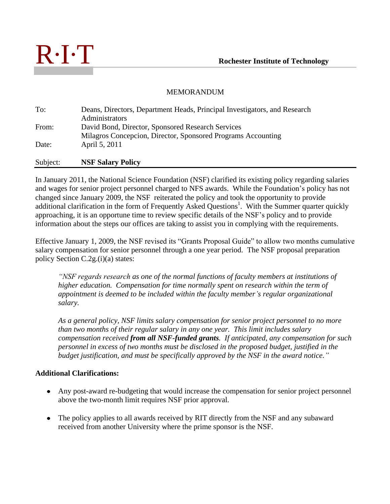

## MEMORANDUM

| To:      | Deans, Directors, Department Heads, Principal Investigators, and Research |
|----------|---------------------------------------------------------------------------|
|          | Administrators                                                            |
| From:    | David Bond, Director, Sponsored Research Services                         |
|          | Milagros Concepcion, Director, Sponsored Programs Accounting              |
| Date:    | April 5, 2011                                                             |
| Subject: | <b>NSF Salary Policy</b>                                                  |

In January 2011, the National Science Foundation (NSF) clarified its existing policy regarding salaries and wages for senior project personnel charged to NFS awards. While the Foundation's policy has not changed since January 2009, the NSF reiterated the policy and took the opportunity to provide additional clarification in the form of Frequently Asked Questions<sup>1</sup>. With the Summer quarter quickly approaching, it is an opportune time to review specific details of the NSF's policy and to provide information about the steps our offices are taking to assist you in complying with the requirements.

Effective January 1, 2009, the NSF revised its "Grants Proposal Guide" to allow two months cumulative salary compensation for senior personnel through a one year period. The NSF proposal preparation policy Section C.2g.(i)(a) states:

*"NSF regards research as one of the normal functions of faculty members at institutions of higher education. Compensation for time normally spent on research within the term of appointment is deemed to be included within the faculty member's regular organizational salary.*

*As a general policy, NSF limits salary compensation for senior project personnel to no more than two months of their regular salary in any one year. This limit includes salary compensation received from all NSF-funded grants. If anticipated, any compensation for such personnel in excess of two months must be disclosed in the proposed budget, justified in the budget justification, and must be specifically approved by the NSF in the award notice."* 

## **Additional Clarifications:**

- Any post-award re-budgeting that would increase the compensation for senior project personnel above the two-month limit requires NSF prior approval.
- The policy applies to all awards received by RIT directly from the NSF and any subaward received from another University where the prime sponsor is the NSF.